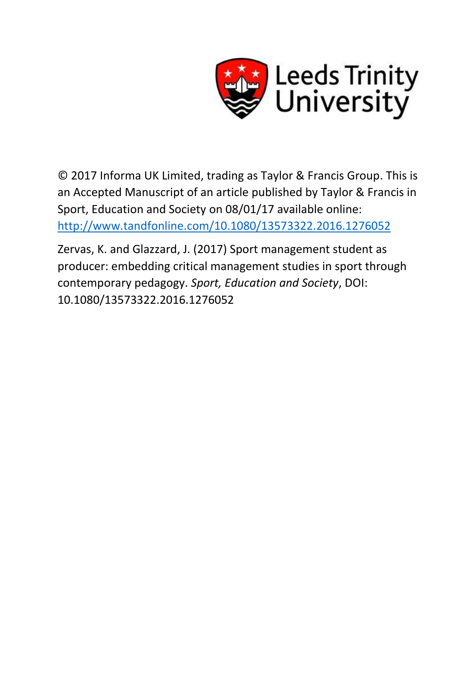

© 2017 Informa UK Limited, trading as Taylor & Francis Group. This is an Accepted Manuscript of an article published by Taylor & Francis in Sport, Education and Society on 08/01/17 available online: <http://www.tandfonline.com/10.1080/13573322.2016.1276052>

Zervas, K. and Glazzard, J. (2017) Sport management student as producer: embedding critical management studies in sport through contemporary pedagogy. *Sport, Education and Society*, DOI: 10.1080/13573322.2016.1276052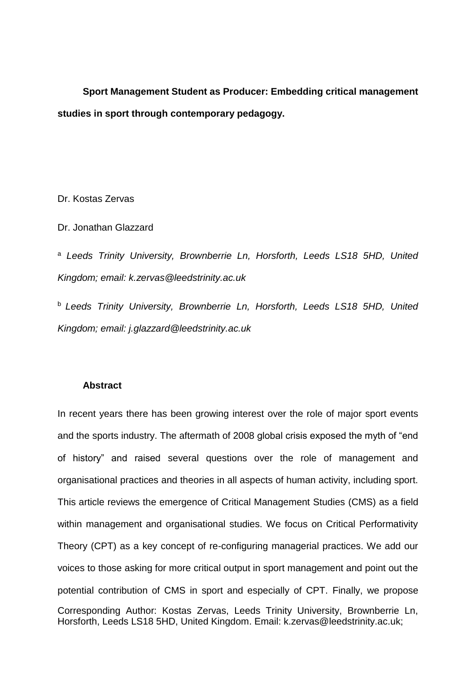**Sport Management Student as Producer: Embedding critical management studies in sport through contemporary pedagogy.**

Dr. Kostas Zervas

Dr. Jonathan Glazzard

<sup>a</sup> *Leeds Trinity University, Brownberrie Ln, Horsforth, Leeds LS18 5HD, United Kingdom; email: k.zervas@leedstrinity.ac.uk*

<sup>b</sup>*Leeds Trinity University, Brownberrie Ln, Horsforth, Leeds LS18 5HD, United Kingdom; email: j.glazzard@leedstrinity.ac.uk*

### **Abstract**

Corresponding Author: Kostas Zervas, Leeds Trinity University, Brownberrie Ln, Horsforth, Leeds LS18 5HD, United Kingdom. Email: k.zervas@leedstrinity.ac.uk; In recent years there has been growing interest over the role of major sport events and the sports industry. The aftermath of 2008 global crisis exposed the myth of "end of history" and raised several questions over the role of management and organisational practices and theories in all aspects of human activity, including sport. This article reviews the emergence of Critical Management Studies (CMS) as a field within management and organisational studies. We focus on Critical Performativity Theory (CPT) as a key concept of re-configuring managerial practices. We add our voices to those asking for more critical output in sport management and point out the potential contribution of CMS in sport and especially of CPT. Finally, we propose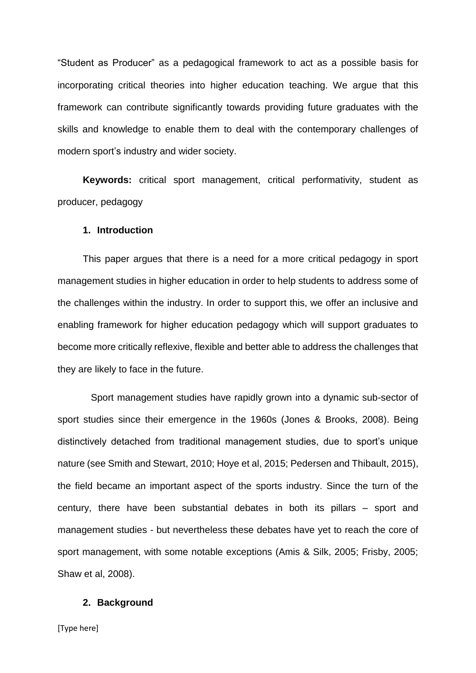"Student as Producer" as a pedagogical framework to act as a possible basis for incorporating critical theories into higher education teaching. We argue that this framework can contribute significantly towards providing future graduates with the skills and knowledge to enable them to deal with the contemporary challenges of modern sport's industry and wider society.

**Keywords:** critical sport management, critical performativity, student as producer, pedagogy

## **1. Introduction**

This paper argues that there is a need for a more critical pedagogy in sport management studies in higher education in order to help students to address some of the challenges within the industry. In order to support this, we offer an inclusive and enabling framework for higher education pedagogy which will support graduates to become more critically reflexive, flexible and better able to address the challenges that they are likely to face in the future.

 Sport management studies have rapidly grown into a dynamic sub-sector of sport studies since their emergence in the 1960s (Jones & Brooks, 2008). Being distinctively detached from traditional management studies, due to sport's unique nature (see Smith and Stewart, 2010; Hoye et al, 2015; Pedersen and Thibault, 2015), the field became an important aspect of the sports industry. Since the turn of the century, there have been substantial debates in both its pillars – sport and management studies - but nevertheless these debates have yet to reach the core of sport management, with some notable exceptions (Amis & Silk, 2005; Frisby, 2005; Shaw et al, 2008).

# **2. Background**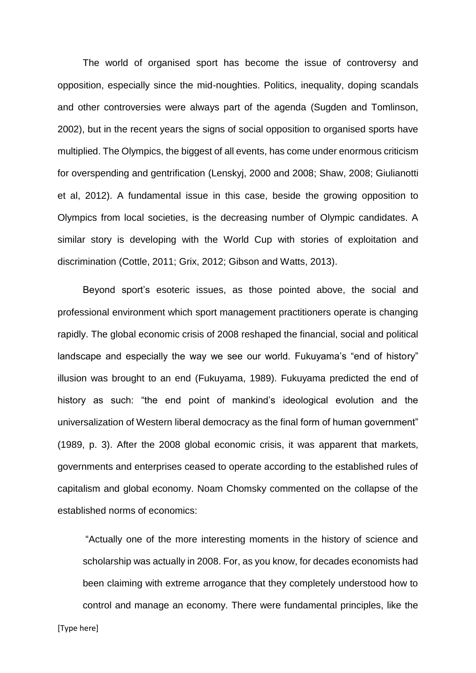The world of organised sport has become the issue of controversy and opposition, especially since the mid-noughties. Politics, inequality, doping scandals and other controversies were always part of the agenda (Sugden and Tomlinson, 2002), but in the recent years the signs of social opposition to organised sports have multiplied. The Olympics, the biggest of all events, has come under enormous criticism for overspending and gentrification (Lenskyj, 2000 and 2008; Shaw, 2008; Giulianotti et al, 2012). A fundamental issue in this case, beside the growing opposition to Olympics from local societies, is the decreasing number of Olympic candidates. A similar story is developing with the World Cup with stories of exploitation and discrimination (Cottle, 2011; Grix, 2012; Gibson and Watts, 2013).

Beyond sport's esoteric issues, as those pointed above, the social and professional environment which sport management practitioners operate is changing rapidly. The global economic crisis of 2008 reshaped the financial, social and political landscape and especially the way we see our world. Fukuyama's "end of history" illusion was brought to an end (Fukuyama, 1989). Fukuyama predicted the end of history as such: "the end point of mankind's ideological evolution and the universalization of Western liberal democracy as the final form of human government" (1989, p. 3). After the 2008 global economic crisis, it was apparent that markets, governments and enterprises ceased to operate according to the established rules of capitalism and global economy. Noam Chomsky commented on the collapse of the established norms of economics:

"Actually one of the more interesting moments in the history of science and scholarship was actually in 2008. For, as you know, for decades economists had been claiming with extreme arrogance that they completely understood how to control and manage an economy. There were fundamental principles, like the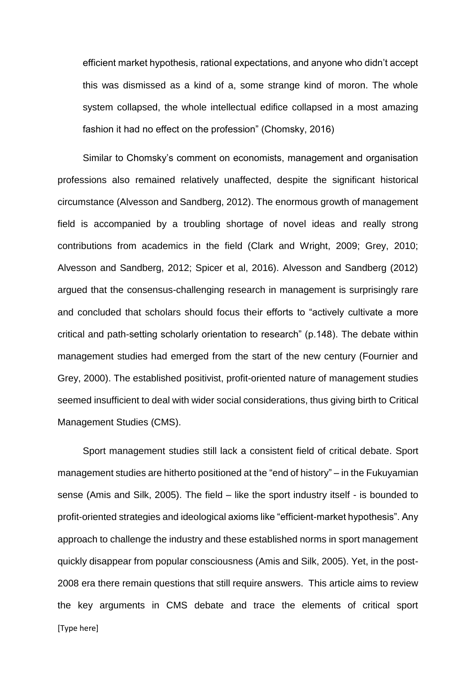efficient market hypothesis, rational expectations, and anyone who didn't accept this was dismissed as a kind of a, some strange kind of moron. The whole system collapsed, the whole intellectual edifice collapsed in a most amazing fashion it had no effect on the profession" (Chomsky, 2016)

Similar to Chomsky's comment on economists, management and organisation professions also remained relatively unaffected, despite the significant historical circumstance (Alvesson and Sandberg, 2012). The enormous growth of management field is accompanied by a troubling shortage of novel ideas and really strong contributions from academics in the field (Clark and Wright, 2009; Grey, 2010; Alvesson and Sandberg, 2012; Spicer et al, 2016). Alvesson and Sandberg (2012) argued that the consensus-challenging research in management is surprisingly rare and concluded that scholars should focus their efforts to "actively cultivate a more critical and path-setting scholarly orientation to research" (p.148). The debate within management studies had emerged from the start of the new century (Fournier and Grey, 2000). The established positivist, profit-oriented nature of management studies seemed insufficient to deal with wider social considerations, thus giving birth to Critical Management Studies (CMS).

[Type here] Sport management studies still lack a consistent field of critical debate. Sport management studies are hitherto positioned at the "end of history" – in the Fukuyamian sense (Amis and Silk, 2005). The field – like the sport industry itself - is bounded to profit-oriented strategies and ideological axioms like "efficient-market hypothesis". Any approach to challenge the industry and these established norms in sport management quickly disappear from popular consciousness (Amis and Silk, 2005). Yet, in the post-2008 era there remain questions that still require answers. This article aims to review the key arguments in CMS debate and trace the elements of critical sport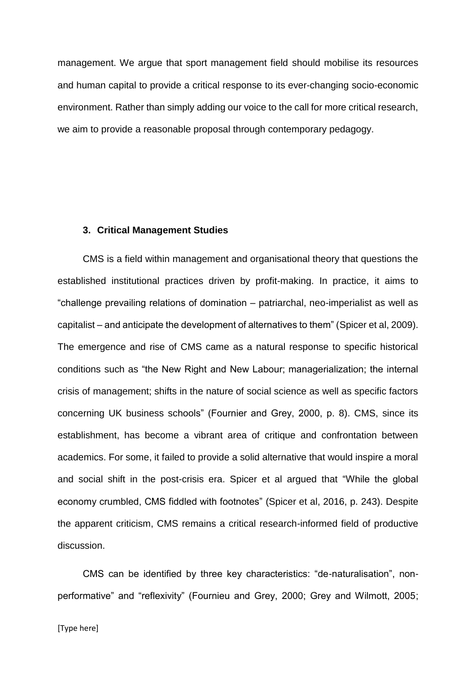management. We argue that sport management field should mobilise its resources and human capital to provide a critical response to its ever-changing socio-economic environment. Rather than simply adding our voice to the call for more critical research, we aim to provide a reasonable proposal through contemporary pedagogy.

#### **3. Critical Management Studies**

CMS is a field within management and organisational theory that questions the established institutional practices driven by profit-making. In practice, it aims to "challenge prevailing relations of domination – patriarchal, neo-imperialist as well as capitalist – and anticipate the development of alternatives to them" (Spicer et al, 2009). The emergence and rise of CMS came as a natural response to specific historical conditions such as "the New Right and New Labour; managerialization; the internal crisis of management; shifts in the nature of social science as well as specific factors concerning UK business schools" (Fournier and Grey, 2000, p. 8). CMS, since its establishment, has become a vibrant area of critique and confrontation between academics. For some, it failed to provide a solid alternative that would inspire a moral and social shift in the post-crisis era. Spicer et al argued that "While the global economy crumbled, CMS fiddled with footnotes" (Spicer et al, 2016, p. 243). Despite the apparent criticism, CMS remains a critical research-informed field of productive discussion.

CMS can be identified by three key characteristics: "de-naturalisation", nonperformative" and "reflexivity" (Fournieu and Grey, 2000; Grey and Wilmott, 2005;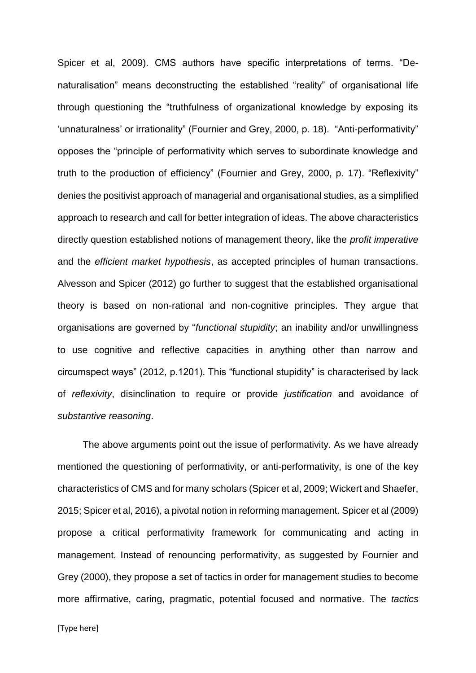Spicer et al, 2009). CMS authors have specific interpretations of terms. "Denaturalisation" means deconstructing the established "reality" of organisational life through questioning the "truthfulness of organizational knowledge by exposing its 'unnaturalness' or irrationality" (Fournier and Grey, 2000, p. 18). "Anti-performativity" opposes the "principle of performativity which serves to subordinate knowledge and truth to the production of efficiency" (Fournier and Grey, 2000, p. 17). "Reflexivity" denies the positivist approach of managerial and organisational studies, as a simplified approach to research and call for better integration of ideas. The above characteristics directly question established notions of management theory, like the *profit imperative* and the *efficient market hypothesis*, as accepted principles of human transactions. Alvesson and Spicer (2012) go further to suggest that the established organisational theory is based on non-rational and non-cognitive principles. They argue that organisations are governed by "*functional stupidity*; an inability and/or unwillingness to use cognitive and reflective capacities in anything other than narrow and circumspect ways" (2012, p.1201). This "functional stupidity" is characterised by lack of *reflexivity*, disinclination to require or provide *justification* and avoidance of *substantive reasoning*.

The above arguments point out the issue of performativity. As we have already mentioned the questioning of performativity, or anti-performativity, is one of the key characteristics of CMS and for many scholars (Spicer et al, 2009; Wickert and Shaefer, 2015; Spicer et al, 2016), a pivotal notion in reforming management. Spicer et al (2009) propose a critical performativity framework for communicating and acting in management. Instead of renouncing performativity, as suggested by Fournier and Grey (2000), they propose a set of tactics in order for management studies to become more affirmative, caring, pragmatic, potential focused and normative. The *tactics*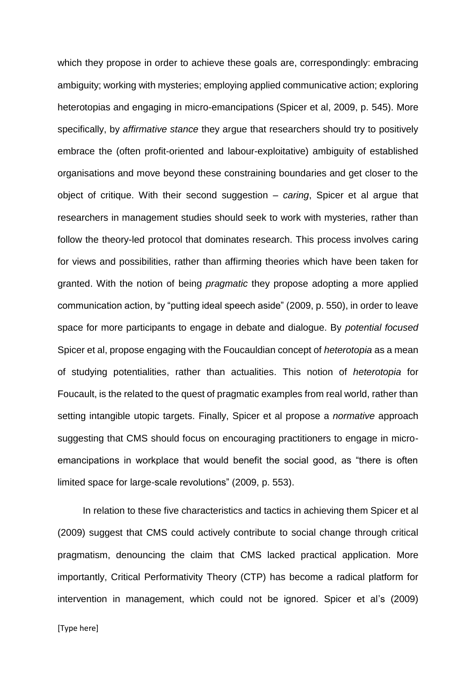which they propose in order to achieve these goals are, correspondingly: embracing ambiguity; working with mysteries; employing applied communicative action; exploring heterotopias and engaging in micro-emancipations (Spicer et al, 2009, p. 545). More specifically, by *affirmative stance* they argue that researchers should try to positively embrace the (often profit-oriented and labour-exploitative) ambiguity of established organisations and move beyond these constraining boundaries and get closer to the object of critique. With their second suggestion – *caring*, Spicer et al argue that researchers in management studies should seek to work with mysteries, rather than follow the theory-led protocol that dominates research. This process involves caring for views and possibilities, rather than affirming theories which have been taken for granted. With the notion of being *pragmatic* they propose adopting a more applied communication action, by "putting ideal speech aside" (2009, p. 550), in order to leave space for more participants to engage in debate and dialogue. By *potential focused* Spicer et al, propose engaging with the Foucauldian concept of *heterotopia* as a mean of studying potentialities, rather than actualities. This notion of *heterotopia* for Foucault, is the related to the quest of pragmatic examples from real world, rather than setting intangible utopic targets. Finally, Spicer et al propose a *normative* approach suggesting that CMS should focus on encouraging practitioners to engage in microemancipations in workplace that would benefit the social good, as "there is often limited space for large-scale revolutions" (2009, p. 553).

In relation to these five characteristics and tactics in achieving them Spicer et al (2009) suggest that CMS could actively contribute to social change through critical pragmatism, denouncing the claim that CMS lacked practical application. More importantly, Critical Performativity Theory (CTP) has become a radical platform for intervention in management, which could not be ignored. Spicer et al's (2009)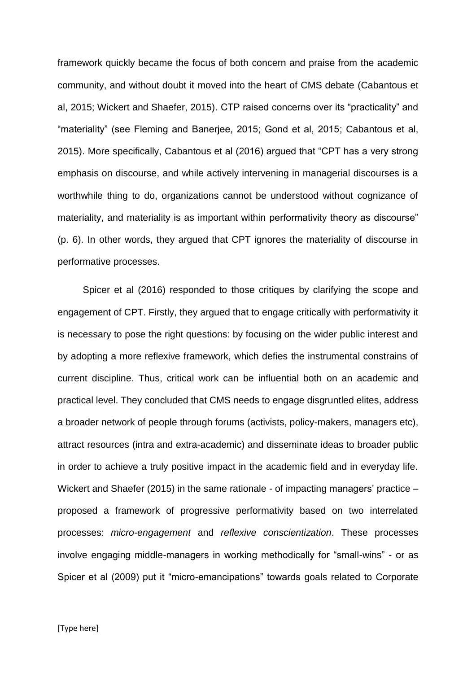framework quickly became the focus of both concern and praise from the academic community, and without doubt it moved into the heart of CMS debate (Cabantous et al, 2015; Wickert and Shaefer, 2015). CTP raised concerns over its "practicality" and "materiality" (see Fleming and Banerjee, 2015; Gond et al, 2015; Cabantous et al, 2015). More specifically, Cabantous et al (2016) argued that "CPT has a very strong emphasis on discourse, and while actively intervening in managerial discourses is a worthwhile thing to do, organizations cannot be understood without cognizance of materiality, and materiality is as important within performativity theory as discourse" (p. 6). In other words, they argued that CPT ignores the materiality of discourse in performative processes.

Spicer et al (2016) responded to those critiques by clarifying the scope and engagement of CPT. Firstly, they argued that to engage critically with performativity it is necessary to pose the right questions: by focusing on the wider public interest and by adopting a more reflexive framework, which defies the instrumental constrains of current discipline. Thus, critical work can be influential both on an academic and practical level. They concluded that CMS needs to engage disgruntled elites, address a broader network of people through forums (activists, policy-makers, managers etc), attract resources (intra and extra-academic) and disseminate ideas to broader public in order to achieve a truly positive impact in the academic field and in everyday life. Wickert and Shaefer (2015) in the same rationale - of impacting managers' practice – proposed a framework of progressive performativity based on two interrelated processes: *micro-engagement* and *reflexive conscientization*. These processes involve engaging middle-managers in working methodically for "small-wins" - or as Spicer et al (2009) put it "micro-emancipations" towards goals related to Corporate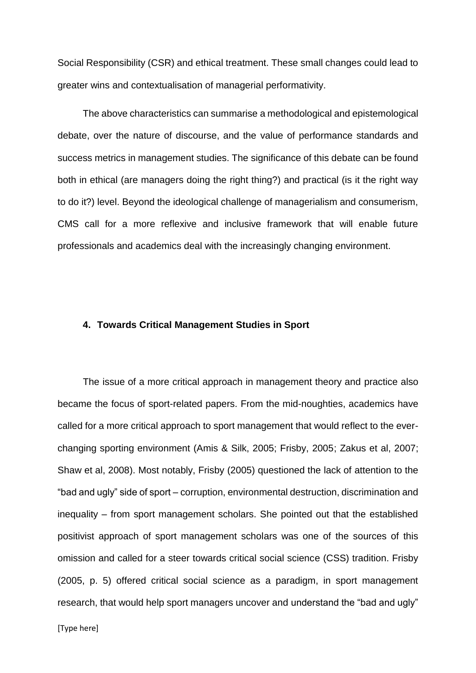Social Responsibility (CSR) and ethical treatment. These small changes could lead to greater wins and contextualisation of managerial performativity.

The above characteristics can summarise a methodological and epistemological debate, over the nature of discourse, and the value of performance standards and success metrics in management studies. The significance of this debate can be found both in ethical (are managers doing the right thing?) and practical (is it the right way to do it?) level. Beyond the ideological challenge of managerialism and consumerism, CMS call for a more reflexive and inclusive framework that will enable future professionals and academics deal with the increasingly changing environment.

## **4. Towards Critical Management Studies in Sport**

The issue of a more critical approach in management theory and practice also became the focus of sport-related papers. From the mid-noughties, academics have called for a more critical approach to sport management that would reflect to the everchanging sporting environment (Amis & Silk, 2005; Frisby, 2005; Zakus et al, 2007; Shaw et al, 2008). Most notably, Frisby (2005) questioned the lack of attention to the "bad and ugly" side of sport – corruption, environmental destruction, discrimination and inequality – from sport management scholars. She pointed out that the established positivist approach of sport management scholars was one of the sources of this omission and called for a steer towards critical social science (CSS) tradition. Frisby (2005, p. 5) offered critical social science as a paradigm, in sport management research, that would help sport managers uncover and understand the "bad and ugly"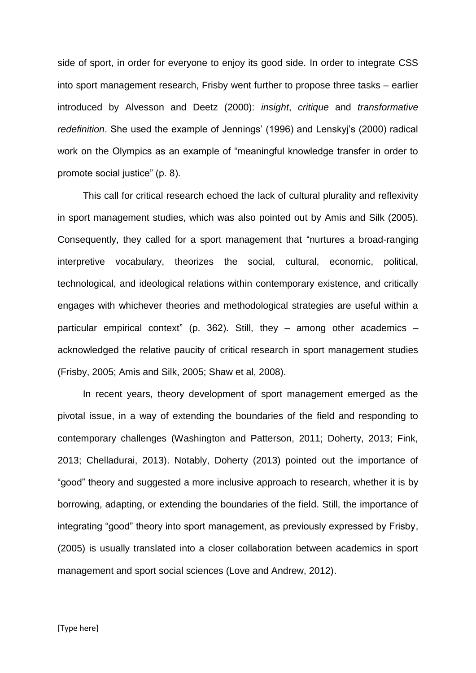side of sport, in order for everyone to enjoy its good side. In order to integrate CSS into sport management research, Frisby went further to propose three tasks – earlier introduced by Alvesson and Deetz (2000): *insight*, *critique* and *transformative redefinition*. She used the example of Jennings' (1996) and Lenskyj's (2000) radical work on the Olympics as an example of "meaningful knowledge transfer in order to promote social justice" (p. 8).

This call for critical research echoed the lack of cultural plurality and reflexivity in sport management studies, which was also pointed out by Amis and Silk (2005). Consequently, they called for a sport management that "nurtures a broad-ranging interpretive vocabulary, theorizes the social, cultural, economic, political, technological, and ideological relations within contemporary existence, and critically engages with whichever theories and methodological strategies are useful within a particular empirical context" (p. 362). Still, they – among other academics – acknowledged the relative paucity of critical research in sport management studies (Frisby, 2005; Amis and Silk, 2005; Shaw et al, 2008).

In recent years, theory development of sport management emerged as the pivotal issue, in a way of extending the boundaries of the field and responding to contemporary challenges (Washington and Patterson, 2011; Doherty, 2013; Fink, 2013; Chelladurai, 2013). Notably, Doherty (2013) pointed out the importance of "good" theory and suggested a more inclusive approach to research, whether it is by borrowing, adapting, or extending the boundaries of the field. Still, the importance of integrating "good" theory into sport management, as previously expressed by Frisby, (2005) is usually translated into a closer collaboration between academics in sport management and sport social sciences (Love and Andrew, 2012).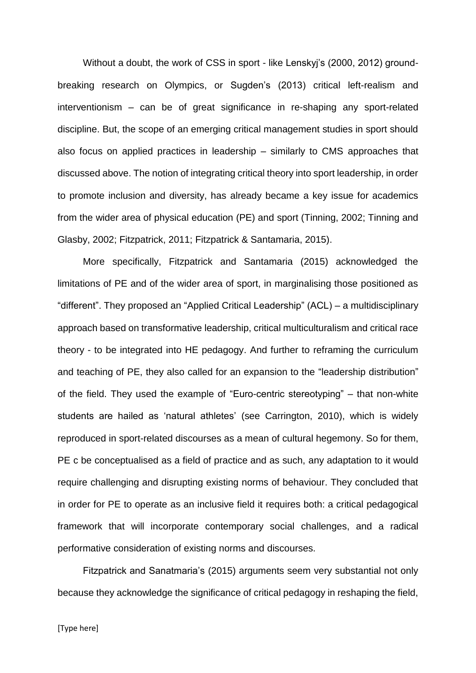Without a doubt, the work of CSS in sport - like Lenskyj's (2000, 2012) groundbreaking research on Olympics, or Sugden's (2013) critical left-realism and interventionism – can be of great significance in re-shaping any sport-related discipline. But, the scope of an emerging critical management studies in sport should also focus on applied practices in leadership – similarly to CMS approaches that discussed above. The notion of integrating critical theory into sport leadership, in order to promote inclusion and diversity, has already became a key issue for academics from the wider area of physical education (PE) and sport (Tinning, 2002; Tinning and Glasby, 2002; Fitzpatrick, 2011; Fitzpatrick & Santamaria, 2015).

More specifically, Fitzpatrick and Santamaria (2015) acknowledged the limitations of PE and of the wider area of sport, in marginalising those positioned as "different". They proposed an "Applied Critical Leadership" (ACL) – a multidisciplinary approach based on transformative leadership, critical multiculturalism and critical race theory - to be integrated into HE pedagogy. And further to reframing the curriculum and teaching of PE, they also called for an expansion to the "leadership distribution" of the field. They used the example of "Euro-centric stereotyping" – that non-white students are hailed as 'natural athletes' (see Carrington, 2010), which is widely reproduced in sport-related discourses as a mean of cultural hegemony. So for them, PE c be conceptualised as a field of practice and as such, any adaptation to it would require challenging and disrupting existing norms of behaviour. They concluded that in order for PE to operate as an inclusive field it requires both: a critical pedagogical framework that will incorporate contemporary social challenges, and a radical performative consideration of existing norms and discourses.

Fitzpatrick and Sanatmaria's (2015) arguments seem very substantial not only because they acknowledge the significance of critical pedagogy in reshaping the field,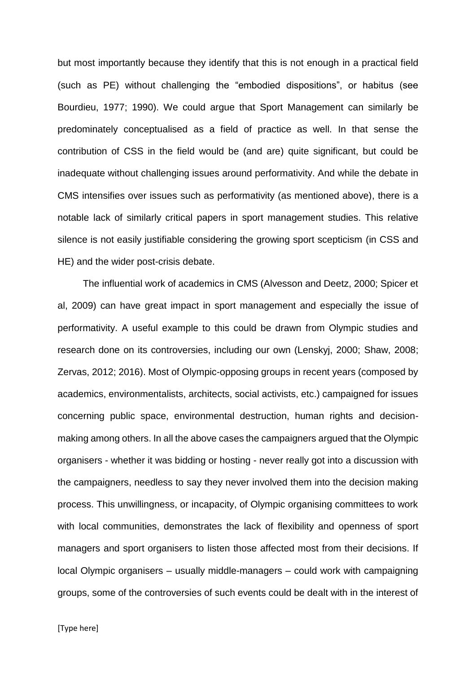but most importantly because they identify that this is not enough in a practical field (such as PE) without challenging the "embodied dispositions", or habitus (see Bourdieu, 1977; 1990). We could argue that Sport Management can similarly be predominately conceptualised as a field of practice as well. In that sense the contribution of CSS in the field would be (and are) quite significant, but could be inadequate without challenging issues around performativity. And while the debate in CMS intensifies over issues such as performativity (as mentioned above), there is a notable lack of similarly critical papers in sport management studies. This relative silence is not easily justifiable considering the growing sport scepticism (in CSS and HE) and the wider post-crisis debate.

The influential work of academics in CMS (Alvesson and Deetz, 2000; Spicer et al, 2009) can have great impact in sport management and especially the issue of performativity. A useful example to this could be drawn from Olympic studies and research done on its controversies, including our own (Lenskyj, 2000; Shaw, 2008; Zervas, 2012; 2016). Most of Olympic-opposing groups in recent years (composed by academics, environmentalists, architects, social activists, etc.) campaigned for issues concerning public space, environmental destruction, human rights and decisionmaking among others. In all the above cases the campaigners argued that the Olympic organisers - whether it was bidding or hosting - never really got into a discussion with the campaigners, needless to say they never involved them into the decision making process. This unwillingness, or incapacity, of Olympic organising committees to work with local communities, demonstrates the lack of flexibility and openness of sport managers and sport organisers to listen those affected most from their decisions. If local Olympic organisers – usually middle-managers – could work with campaigning groups, some of the controversies of such events could be dealt with in the interest of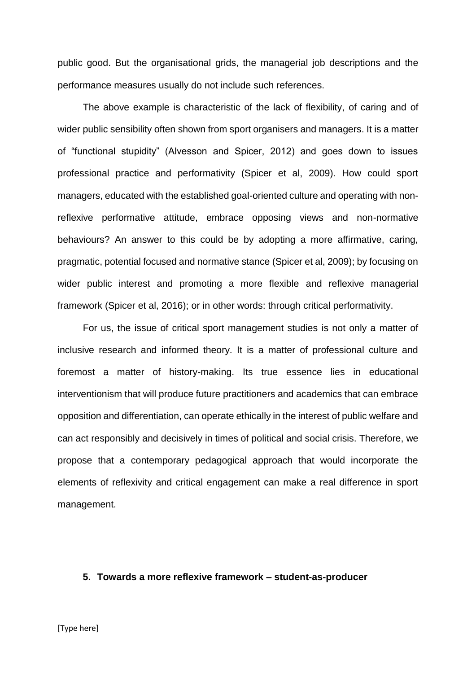public good. But the organisational grids, the managerial job descriptions and the performance measures usually do not include such references.

The above example is characteristic of the lack of flexibility, of caring and of wider public sensibility often shown from sport organisers and managers. It is a matter of "functional stupidity" (Alvesson and Spicer, 2012) and goes down to issues professional practice and performativity (Spicer et al, 2009). How could sport managers, educated with the established goal-oriented culture and operating with nonreflexive performative attitude, embrace opposing views and non-normative behaviours? An answer to this could be by adopting a more affirmative, caring, pragmatic, potential focused and normative stance (Spicer et al, 2009); by focusing on wider public interest and promoting a more flexible and reflexive managerial framework (Spicer et al, 2016); or in other words: through critical performativity.

For us, the issue of critical sport management studies is not only a matter of inclusive research and informed theory. It is a matter of professional culture and foremost a matter of history-making. Its true essence lies in educational interventionism that will produce future practitioners and academics that can embrace opposition and differentiation, can operate ethically in the interest of public welfare and can act responsibly and decisively in times of political and social crisis. Therefore, we propose that a contemporary pedagogical approach that would incorporate the elements of reflexivity and critical engagement can make a real difference in sport management.

#### **5. Towards a more reflexive framework – student-as-producer**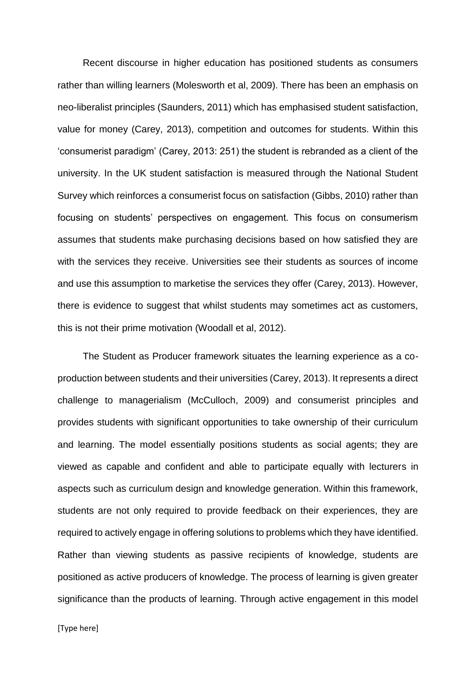Recent discourse in higher education has positioned students as consumers rather than willing learners (Molesworth et al, 2009). There has been an emphasis on neo-liberalist principles (Saunders, 2011) which has emphasised student satisfaction, value for money (Carey, 2013), competition and outcomes for students. Within this 'consumerist paradigm' (Carey, 2013: 251) the student is rebranded as a client of the university. In the UK student satisfaction is measured through the National Student Survey which reinforces a consumerist focus on satisfaction (Gibbs, 2010) rather than focusing on students' perspectives on engagement. This focus on consumerism assumes that students make purchasing decisions based on how satisfied they are with the services they receive. Universities see their students as sources of income and use this assumption to marketise the services they offer (Carey, 2013). However, there is evidence to suggest that whilst students may sometimes act as customers, this is not their prime motivation (Woodall et al, 2012).

The Student as Producer framework situates the learning experience as a coproduction between students and their universities (Carey, 2013). It represents a direct challenge to managerialism (McCulloch, 2009) and consumerist principles and provides students with significant opportunities to take ownership of their curriculum and learning. The model essentially positions students as social agents; they are viewed as capable and confident and able to participate equally with lecturers in aspects such as curriculum design and knowledge generation. Within this framework, students are not only required to provide feedback on their experiences, they are required to actively engage in offering solutions to problems which they have identified. Rather than viewing students as passive recipients of knowledge, students are positioned as active producers of knowledge. The process of learning is given greater significance than the products of learning. Through active engagement in this model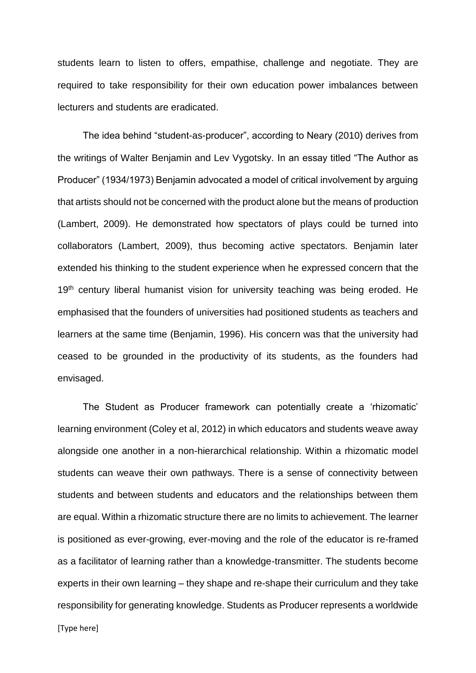students learn to listen to offers, empathise, challenge and negotiate. They are required to take responsibility for their own education power imbalances between lecturers and students are eradicated.

The idea behind "student-as-producer", according to Neary (2010) derives from the writings of Walter Benjamin and Lev Vygotsky. In an essay titled "The Author as Producer" (1934/1973) Benjamin advocated a model of critical involvement by arguing that artists should not be concerned with the product alone but the means of production (Lambert, 2009). He demonstrated how spectators of plays could be turned into collaborators (Lambert, 2009), thus becoming active spectators. Benjamin later extended his thinking to the student experience when he expressed concern that the 19<sup>th</sup> century liberal humanist vision for university teaching was being eroded. He emphasised that the founders of universities had positioned students as teachers and learners at the same time (Benjamin, 1996). His concern was that the university had ceased to be grounded in the productivity of its students, as the founders had envisaged.

The Student as Producer framework can potentially create a 'rhizomatic' learning environment (Coley et al, 2012) in which educators and students weave away alongside one another in a non-hierarchical relationship. Within a rhizomatic model students can weave their own pathways. There is a sense of connectivity between students and between students and educators and the relationships between them are equal. Within a rhizomatic structure there are no limits to achievement. The learner is positioned as ever-growing, ever-moving and the role of the educator is re-framed as a facilitator of learning rather than a knowledge-transmitter. The students become experts in their own learning – they shape and re-shape their curriculum and they take responsibility for generating knowledge. Students as Producer represents a worldwide

[Type here]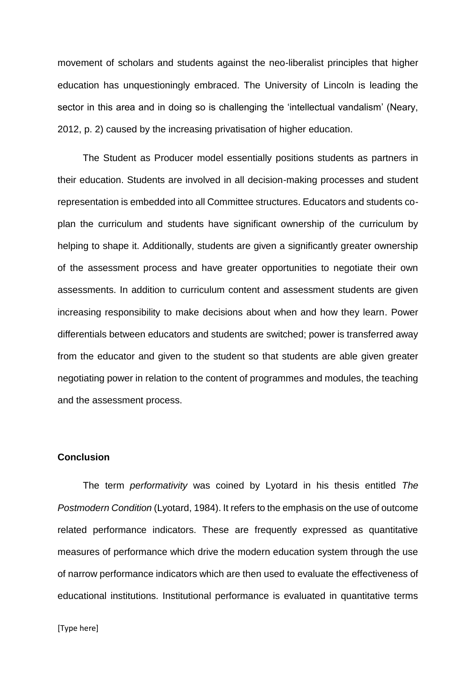movement of scholars and students against the neo-liberalist principles that higher education has unquestioningly embraced. The University of Lincoln is leading the sector in this area and in doing so is challenging the 'intellectual vandalism' (Neary, 2012, p. 2) caused by the increasing privatisation of higher education.

The Student as Producer model essentially positions students as partners in their education. Students are involved in all decision-making processes and student representation is embedded into all Committee structures. Educators and students coplan the curriculum and students have significant ownership of the curriculum by helping to shape it. Additionally, students are given a significantly greater ownership of the assessment process and have greater opportunities to negotiate their own assessments. In addition to curriculum content and assessment students are given increasing responsibility to make decisions about when and how they learn. Power differentials between educators and students are switched; power is transferred away from the educator and given to the student so that students are able given greater negotiating power in relation to the content of programmes and modules, the teaching and the assessment process.

## **Conclusion**

The term *performativity* was coined by Lyotard in his thesis entitled *The Postmodern Condition* (Lyotard, 1984). It refers to the emphasis on the use of outcome related performance indicators. These are frequently expressed as quantitative measures of performance which drive the modern education system through the use of narrow performance indicators which are then used to evaluate the effectiveness of educational institutions. Institutional performance is evaluated in quantitative terms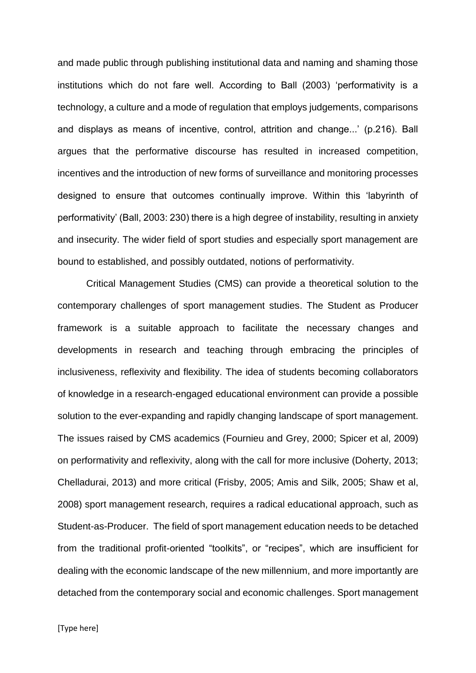and made public through publishing institutional data and naming and shaming those institutions which do not fare well. According to Ball (2003) 'performativity is a technology, a culture and a mode of regulation that employs judgements, comparisons and displays as means of incentive, control, attrition and change...' (p.216). Ball argues that the performative discourse has resulted in increased competition, incentives and the introduction of new forms of surveillance and monitoring processes designed to ensure that outcomes continually improve. Within this 'labyrinth of performativity' (Ball, 2003: 230) there is a high degree of instability, resulting in anxiety and insecurity. The wider field of sport studies and especially sport management are bound to established, and possibly outdated, notions of performativity.

Critical Management Studies (CMS) can provide a theoretical solution to the contemporary challenges of sport management studies. The Student as Producer framework is a suitable approach to facilitate the necessary changes and developments in research and teaching through embracing the principles of inclusiveness, reflexivity and flexibility. The idea of students becoming collaborators of knowledge in a research-engaged educational environment can provide a possible solution to the ever-expanding and rapidly changing landscape of sport management. The issues raised by CMS academics (Fournieu and Grey, 2000; Spicer et al, 2009) on performativity and reflexivity, along with the call for more inclusive (Doherty, 2013; Chelladurai, 2013) and more critical (Frisby, 2005; Amis and Silk, 2005; Shaw et al, 2008) sport management research, requires a radical educational approach, such as Student-as-Producer. The field of sport management education needs to be detached from the traditional profit-oriented "toolkits", or "recipes", which are insufficient for dealing with the economic landscape of the new millennium, and more importantly are detached from the contemporary social and economic challenges. Sport management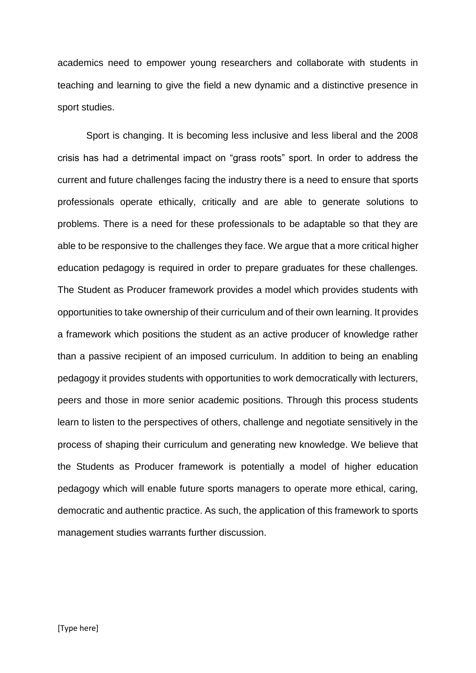academics need to empower young researchers and collaborate with students in teaching and learning to give the field a new dynamic and a distinctive presence in sport studies.

Sport is changing. It is becoming less inclusive and less liberal and the 2008 crisis has had a detrimental impact on "grass roots" sport. In order to address the current and future challenges facing the industry there is a need to ensure that sports professionals operate ethically, critically and are able to generate solutions to problems. There is a need for these professionals to be adaptable so that they are able to be responsive to the challenges they face. We argue that a more critical higher education pedagogy is required in order to prepare graduates for these challenges. The Student as Producer framework provides a model which provides students with opportunities to take ownership of their curriculum and of their own learning. It provides a framework which positions the student as an active producer of knowledge rather than a passive recipient of an imposed curriculum. In addition to being an enabling pedagogy it provides students with opportunities to work democratically with lecturers, peers and those in more senior academic positions. Through this process students learn to listen to the perspectives of others, challenge and negotiate sensitively in the process of shaping their curriculum and generating new knowledge. We believe that the Students as Producer framework is potentially a model of higher education pedagogy which will enable future sports managers to operate more ethical, caring, democratic and authentic practice. As such, the application of this framework to sports management studies warrants further discussion.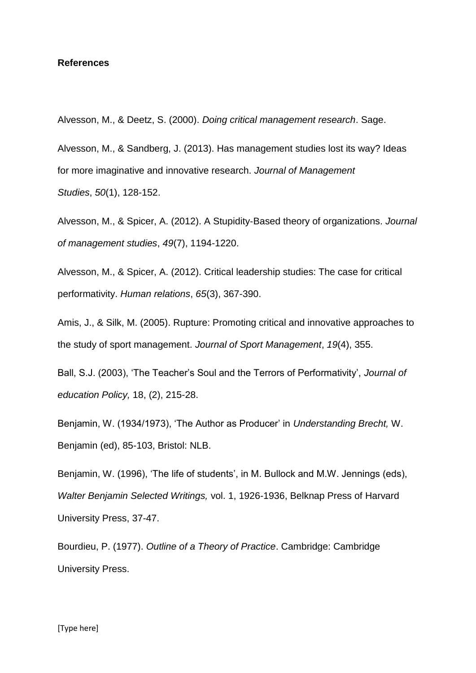### **References**

Alvesson, M., & Deetz, S. (2000). *Doing critical management research*. Sage.

Alvesson, M., & Sandberg, J. (2013). Has management studies lost its way? Ideas for more imaginative and innovative research. *Journal of Management Studies*, *50*(1), 128-152.

Alvesson, M., & Spicer, A. (2012). A Stupidity‐Based theory of organizations. *Journal of management studies*, *49*(7), 1194-1220.

Alvesson, M., & Spicer, A. (2012). Critical leadership studies: The case for critical performativity. *Human relations*, *65*(3), 367-390.

Amis, J., & Silk, M. (2005). Rupture: Promoting critical and innovative approaches to the study of sport management. *Journal of Sport Management*, *19*(4), 355.

Ball, S.J. (2003), 'The Teacher's Soul and the Terrors of Performativity', *Journal of education Policy,* 18, (2), 215-28.

Benjamin, W. (1934/1973), 'The Author as Producer' in *Understanding Brecht,* W. Benjamin (ed), 85-103, Bristol: NLB.

Benjamin, W. (1996), 'The life of students', in M. Bullock and M.W. Jennings (eds), *Walter Benjamin Selected Writings,* vol. 1, 1926-1936, Belknap Press of Harvard University Press, 37-47.

Bourdieu, P. (1977). *Outline of a Theory of Practice*. Cambridge: Cambridge University Press.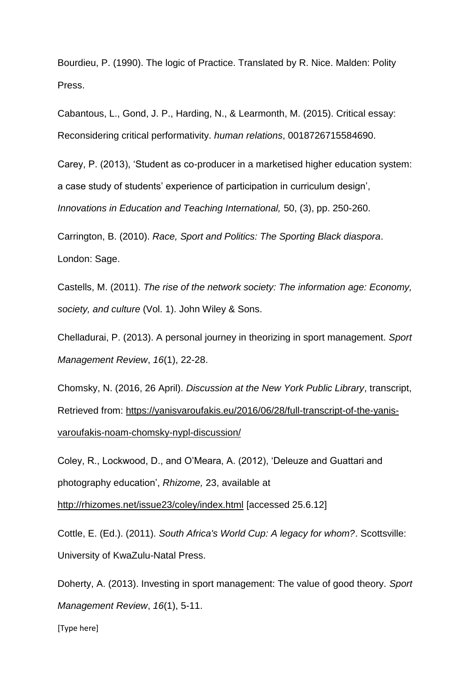Bourdieu, P. (1990). The logic of Practice. Translated by R. Nice. Malden: Polity Press.

Cabantous, L., Gond, J. P., Harding, N., & Learmonth, M. (2015). Critical essay: Reconsidering critical performativity. *human relations*, 0018726715584690.

Carey, P. (2013), 'Student as co-producer in a marketised higher education system: a case study of students' experience of participation in curriculum design', *Innovations in Education and Teaching International,* 50, (3), pp. 250-260.

Carrington, B. (2010). *Race, Sport and Politics: The Sporting Black diaspora*. London: Sage.

Castells, M. (2011). *The rise of the network society: The information age: Economy, society, and culture* (Vol. 1). John Wiley & Sons.

Chelladurai, P. (2013). A personal journey in theorizing in sport management. *Sport Management Review*, *16*(1), 22-28.

Chomsky, N. (2016, 26 April). *Discussion at the New York Public Library*, transcript, Retrieved from: [https://yanisvaroufakis.eu/2016/06/28/full-transcript-of-the-yanis](https://yanisvaroufakis.eu/2016/06/28/full-transcript-of-the-yanis-varoufakis-noam-chomsky-nypl-discussion/)[varoufakis-noam-chomsky-nypl-discussion/](https://yanisvaroufakis.eu/2016/06/28/full-transcript-of-the-yanis-varoufakis-noam-chomsky-nypl-discussion/)

Coley, R., Lockwood, D., and O'Meara, A. (2012), 'Deleuze and Guattari and photography education', *Rhizome,* 23, available at

<http://rhizomes.net/issue23/coley/index.html> [accessed 25.6.12]

Cottle, E. (Ed.). (2011). *South Africa's World Cup: A legacy for whom?*. Scottsville: University of KwaZulu-Natal Press.

Doherty, A. (2013). Investing in sport management: The value of good theory. *Sport Management Review*, *16*(1), 5-11.

[Type here]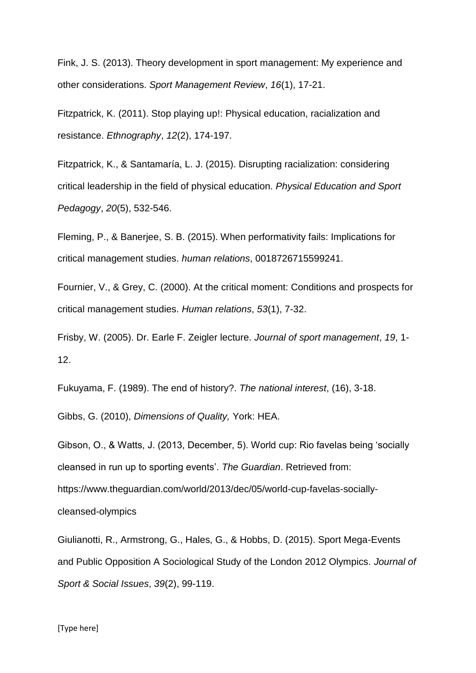Fink, J. S. (2013). Theory development in sport management: My experience and other considerations. *Sport Management Review*, *16*(1), 17-21.

Fitzpatrick, K. (2011). Stop playing up!: Physical education, racialization and resistance. *Ethnography*, *12*(2), 174-197.

Fitzpatrick, K., & Santamaría, L. J. (2015). Disrupting racialization: considering critical leadership in the field of physical education. *Physical Education and Sport Pedagogy*, *20*(5), 532-546.

Fleming, P., & Banerjee, S. B. (2015). When performativity fails: Implications for critical management studies. *human relations*, 0018726715599241.

Fournier, V., & Grey, C. (2000). At the critical moment: Conditions and prospects for critical management studies. *Human relations*, *53*(1), 7-32.

Frisby, W. (2005). Dr. Earle F. Zeigler lecture. *Journal of sport management*, *19*, 1- 12.

Fukuyama, F. (1989). The end of history?. *The national interest*, (16), 3-18.

Gibbs, G. (2010), *Dimensions of Quality,* York: HEA.

Gibson, O., & Watts, J. (2013, December, 5). World cup: Rio favelas being 'socially cleansed in run up to sporting events'. *The Guardian*. Retrieved from: https://www.theguardian.com/world/2013/dec/05/world-cup-favelas-sociallycleansed-olympics

Giulianotti, R., Armstrong, G., Hales, G., & Hobbs, D. (2015). Sport Mega-Events and Public Opposition A Sociological Study of the London 2012 Olympics. *Journal of Sport & Social Issues*, *39*(2), 99-119.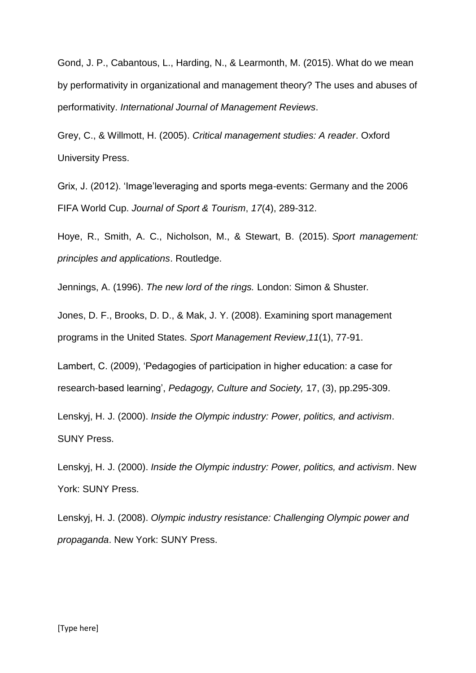Gond, J. P., Cabantous, L., Harding, N., & Learmonth, M. (2015). What do we mean by performativity in organizational and management theory? The uses and abuses of performativity. *International Journal of Management Reviews*.

Grey, C., & Willmott, H. (2005). *Critical management studies: A reader*. Oxford University Press.

Grix, J. (2012). 'Image'leveraging and sports mega-events: Germany and the 2006 FIFA World Cup. *Journal of Sport & Tourism*, *17*(4), 289-312.

Hoye, R., Smith, A. C., Nicholson, M., & Stewart, B. (2015). *Sport management: principles and applications*. Routledge.

Jennings, A. (1996). *The new lord of the rings.* London: Simon & Shuster*.*

Jones, D. F., Brooks, D. D., & Mak, J. Y. (2008). Examining sport management programs in the United States. *Sport Management Review*,*11*(1), 77-91.

Lambert, C. (2009), 'Pedagogies of participation in higher education: a case for research-based learning', *Pedagogy, Culture and Society,* 17, (3), pp.295-309.

Lenskyj, H. J. (2000). *Inside the Olympic industry: Power, politics, and activism*. SUNY Press.

Lenskyj, H. J. (2000). *Inside the Olympic industry: Power, politics, and activism*. New York: SUNY Press.

Lenskyj, H. J. (2008). *Olympic industry resistance: Challenging Olympic power and propaganda*. New York: SUNY Press.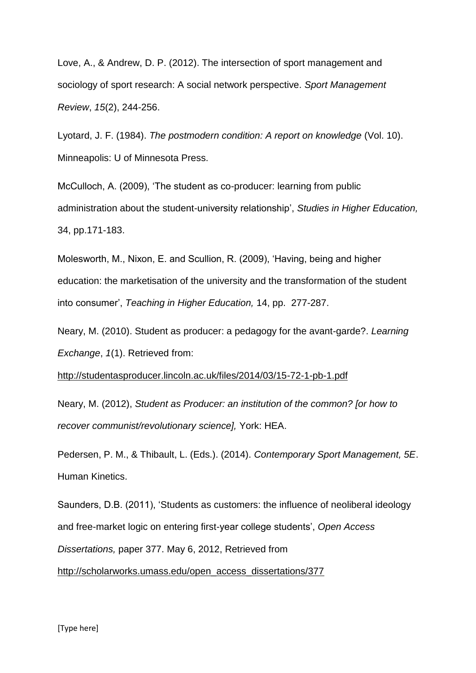Love, A., & Andrew, D. P. (2012). The intersection of sport management and sociology of sport research: A social network perspective. *Sport Management Review*, *15*(2), 244-256.

Lyotard, J. F. (1984). *The postmodern condition: A report on knowledge* (Vol. 10). Minneapolis: U of Minnesota Press.

McCulloch, A. (2009), 'The student as co-producer: learning from public administration about the student-university relationship', *Studies in Higher Education,*  34, pp.171-183.

Molesworth, M., Nixon, E. and Scullion, R. (2009), 'Having, being and higher education: the marketisation of the university and the transformation of the student into consumer', *Teaching in Higher Education,* 14, pp. 277-287.

Neary, M. (2010). Student as producer: a pedagogy for the avant-garde?. *Learning Exchange*, *1*(1). Retrieved from:

<http://studentasproducer.lincoln.ac.uk/files/2014/03/15-72-1-pb-1.pdf>

Neary, M. (2012), *Student as Producer: an institution of the common? [or how to recover communist/revolutionary science],* York: HEA.

Pedersen, P. M., & Thibault, L. (Eds.). (2014). *Contemporary Sport Management, 5E*. Human Kinetics.

Saunders, D.B. (2011), 'Students as customers: the influence of neoliberal ideology and free-market logic on entering first-year college students', *Open Access* 

*Dissertations,* paper 377. May 6, 2012, Retrieved from

[http://scholarworks.umass.edu/open\\_access\\_dissertations/377](http://scholarworks.umass.edu/open_access_dissertations/377)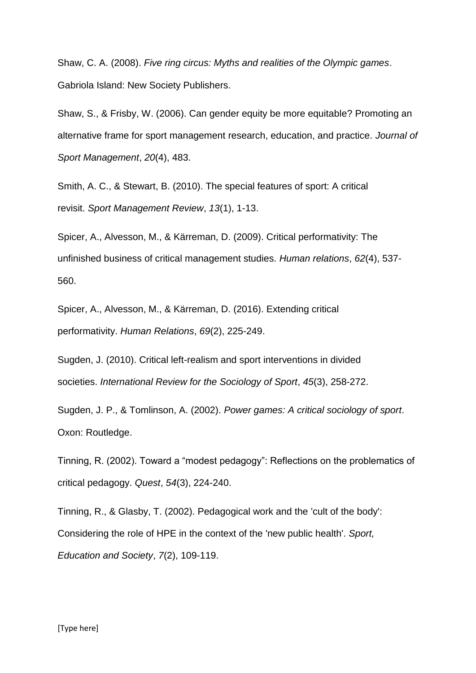Shaw, C. A. (2008). *Five ring circus: Myths and realities of the Olympic games*. Gabriola Island: New Society Publishers.

Shaw, S., & Frisby, W. (2006). Can gender equity be more equitable? Promoting an alternative frame for sport management research, education, and practice. *Journal of Sport Management*, *20*(4), 483.

Smith, A. C., & Stewart, B. (2010). The special features of sport: A critical revisit. *Sport Management Review*, *13*(1), 1-13.

Spicer, A., Alvesson, M., & Kärreman, D. (2009). Critical performativity: The unfinished business of critical management studies. *Human relations*, *62*(4), 537- 560.

Spicer, A., Alvesson, M., & Kärreman, D. (2016). Extending critical performativity. *Human Relations*, *69*(2), 225-249.

Sugden, J. (2010). Critical left-realism and sport interventions in divided societies. *International Review for the Sociology of Sport*, *45*(3), 258-272.

Sugden, J. P., & Tomlinson, A. (2002). *Power games: A critical sociology of sport*. Oxon: Routledge.

Tinning, R. (2002). Toward a "modest pedagogy": Reflections on the problematics of critical pedagogy. *Quest*, *54*(3), 224-240.

Tinning, R., & Glasby, T. (2002). Pedagogical work and the 'cult of the body': Considering the role of HPE in the context of the 'new public health'. *Sport, Education and Society*, *7*(2), 109-119.